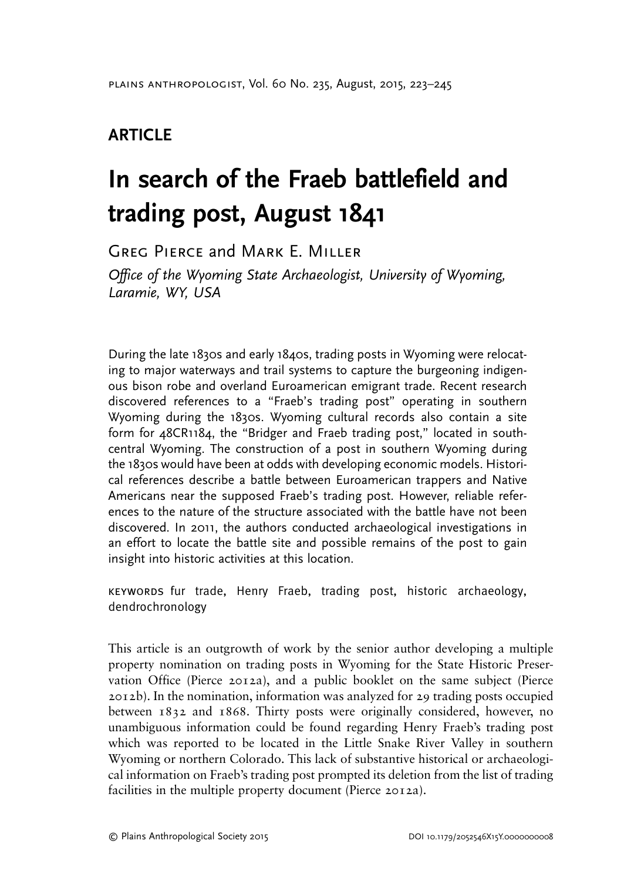# **ARTICLE**

# In search of the Fraeb battlefield and trading post, August 1841

GREG PIERCE and MARK E. MILLER<br>Office of the Wyoming State Archaeologist, University of Wyoming, Laramie, WY, USA  $\mathcal{L}$ 

During the late 1830s and early 1840s, trading posts in Wyoming were relocating to major waterways and trail systems to capture the burgeoning indigenous bison robe and overland Euroamerican emigrant trade. Recent research discovered references to a "Fraeb's trading post" operating in southern Wyoming during the 1830s. Wyoming cultural records also contain a site form for 48CR1184, the "Bridger and Fraeb trading post," located in southcentral Wyoming. The construction of a post in southern Wyoming during the 1830s would have been at odds with developing economic models. Historical references describe a battle between Euroamerican trappers and Native Americans near the supposed Fraeb's trading post. However, reliable references to the nature of the structure associated with the battle have not been discovered. In 2011, the authors conducted archaeological investigations in an effort to locate the battle site and possible remains of the post to gain insight into historic activities at this location.

keywords fur trade, Henry Fraeb, trading post, historic archaeology, dendrochronology

This article is an outgrowth of work by the senior author developing a multiple property nomination on trading posts in Wyoming for the State Historic Preservation Office ([Pierce 2012a\)](#page-21-0), and a public booklet on the same subject ([Pierce](#page-21-0) [2012b\)](#page-21-0). In the nomination, information was analyzed for 29 trading posts occupied between 1832 and 1868. Thirty posts were originally considered, however, no unambiguous information could be found regarding Henry Fraeb's trading post which was reported to be located in the Little Snake River Valley in southern Wyoming or northern Colorado. This lack of substantive historical or archaeological information on Fraeb's trading post prompted its deletion from the list of trading facilities in the multiple property document ([Pierce 2012a](#page-21-0)).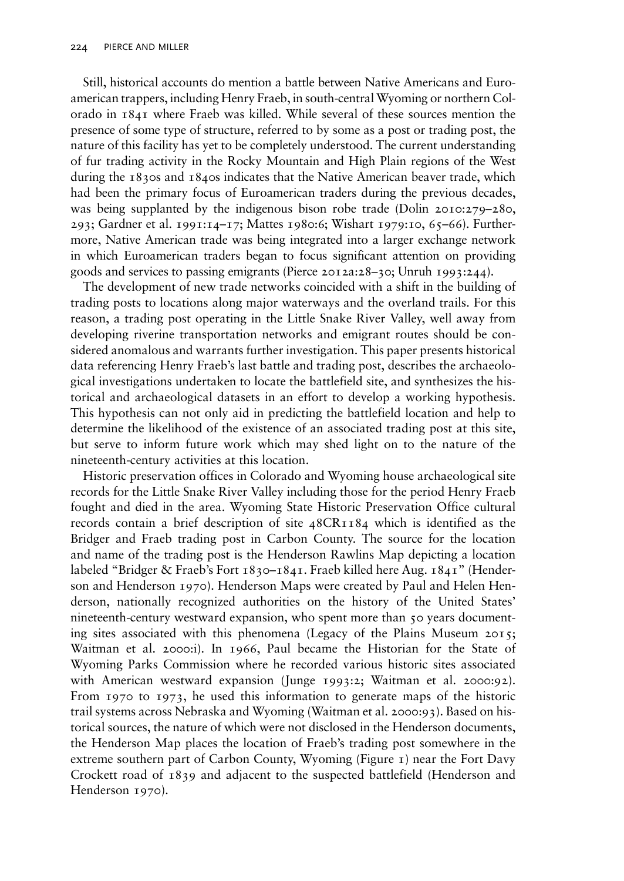Still, historical accounts do mention a battle between Native Americans and Euroamerican trappers, including Henry Fraeb, in south-central Wyoming or northern Colorado in 1841 where Fraeb was killed. While several of these sources mention the presence of some type of structure, referred to by some as a post or trading post, the nature of this facility has yet to be completely understood. The current understanding of fur trading activity in the Rocky Mountain and High Plain regions of the West during the 1830s and 1840s indicates that the Native American beaver trade, which had been the primary focus of Euroamerican traders during the previous decades, was being supplanted by the indigenous bison robe trade [\(Dolin 2010](#page-19-0):279–280, 293; [Gardner et al. 1991](#page-20-0):14–17; [Mattes 1980:](#page-20-0)6; [Wishart 1979:](#page-21-0)10, 65–66). Furthermore, Native American trade was being integrated into a larger exchange network in which Euroamerican traders began to focus significant attention on providing goods and services to passing emigrants [\(Pierce 2012a](#page-21-0):28–30; [Unruh 1993](#page-21-0):244).

The development of new trade networks coincided with a shift in the building of trading posts to locations along major waterways and the overland trails. For this reason, a trading post operating in the Little Snake River Valley, well away from developing riverine transportation networks and emigrant routes should be considered anomalous and warrants further investigation. This paper presents historical data referencing Henry Fraeb's last battle and trading post, describes the archaeological investigations undertaken to locate the battlefield site, and synthesizes the historical and archaeological datasets in an effort to develop a working hypothesis. This hypothesis can not only aid in predicting the battlefield location and help to determine the likelihood of the existence of an associated trading post at this site, but serve to inform future work which may shed light on to the nature of the nineteenth-century activities at this location.

Historic preservation offices in Colorado and Wyoming house archaeological site records for the Little Snake River Valley including those for the period Henry Fraeb fought and died in the area. Wyoming State Historic Preservation Office cultural records contain a brief description of site 48CR1184 which is identified as the Bridger and Fraeb trading post in Carbon County. The source for the location and name of the trading post is the Henderson Rawlins Map depicting a location labeled "Bridger & Fraeb's Fort 1830–1841. Fraeb killed here Aug. 1841" [\(Hender](#page-20-0)[son and Henderson 1970](#page-20-0)). Henderson Maps were created by Paul and Helen Henderson, nationally recognized authorities on the history of the United States' nineteenth-century westward expansion, who spent more than 50 years documenting sites associated with this phenomena ([Legacy of the Plains Museum 2015](#page-20-0); [Waitman et al. 2000](#page-21-0):i). In 1966, Paul became the Historian for the State of Wyoming Parks Commission where he recorded various historic sites associated with American westward expansion ([Junge 1993](#page-20-0):2; [Waitman et al. 2000](#page-21-0):92). From 1970 to 1973, he used this information to generate maps of the historic trail systems across Nebraska and Wyoming [\(Waitman et al. 2000:](#page-21-0)93). Based on historical sources, the nature of which were not disclosed in the Henderson documents, the Henderson Map places the location of Fraeb's trading post somewhere in the extreme southern part of Carbon County, Wyoming (Figure [1\)](#page-2-0) near the Fort Davy Crockett road of 1839 and adjacent to the suspected battlefield [\(Henderson and](#page-20-0) [Henderson 1970](#page-20-0)).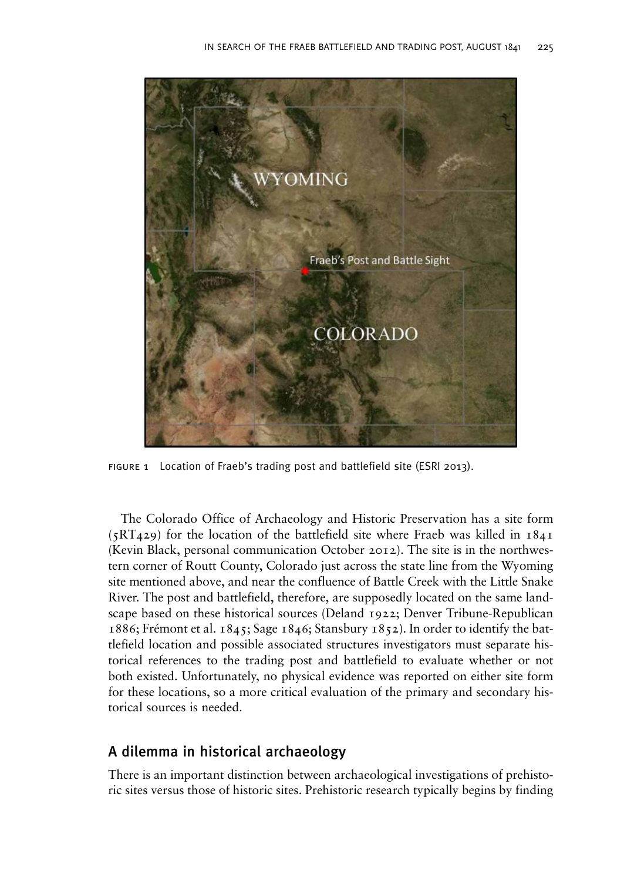<span id="page-2-0"></span>

figure 1 Location of Fraeb's trading post and battlefield site [\(ESRI 2013](#page-19-0)).

The Colorado Office of Archaeology and Historic Preservation has a site form  $(5RT429)$  for the location of the battlefield site where Fraeb was killed in  $184I$ (Kevin Black, personal communication October 2012). The site is in the northwestern corner of Routt County, Colorado just across the state line from the Wyoming site mentioned above, and near the confluence of Battle Creek with the Little Snake River. The post and battlefield, therefore, are supposedly located on the same landscape based on these historical sources ([Deland 1922; Denver Tribune-Republican](#page-19-0) [1886](#page-19-0); [Frémont et al. 1845](#page-20-0); [Sage 1846](#page-21-0); [Stansbury 1852](#page-21-0)). In order to identify the battlefield location and possible associated structures investigators must separate historical references to the trading post and battlefield to evaluate whether or not both existed. Unfortunately, no physical evidence was reported on either site form for these locations, so a more critical evaluation of the primary and secondary historical sources is needed.

### A dilemma in historical archaeology

There is an important distinction between archaeological investigations of prehistoric sites versus those of historic sites. Prehistoric research typically begins by finding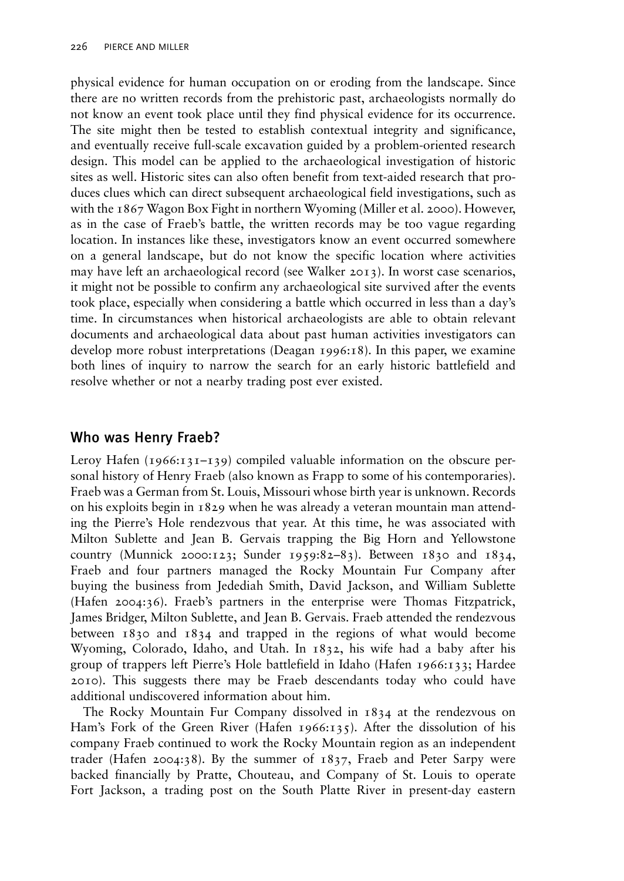physical evidence for human occupation on or eroding from the landscape. Since there are no written records from the prehistoric past, archaeologists normally do not know an event took place until they find physical evidence for its occurrence. The site might then be tested to establish contextual integrity and significance, and eventually receive full-scale excavation guided by a problem-oriented research design. This model can be applied to the archaeological investigation of historic sites as well. Historic sites can also often benefit from text-aided research that produces clues which can direct subsequent archaeological field investigations, such as with the 1867 Wagon Box Fight in northern Wyoming ([Miller et al. 2000](#page-20-0)). However, as in the case of Fraeb's battle, the written records may be too vague regarding location. In instances like these, investigators know an event occurred somewhere on a general landscape, but do not know the specific location where activities may have left an archaeological record (see [Walker 2013\)](#page-21-0). In worst case scenarios, it might not be possible to confirm any archaeological site survived after the events took place, especially when considering a battle which occurred in less than a day's time. In circumstances when historical archaeologists are able to obtain relevant documents and archaeological data about past human activities investigators can develop more robust interpretations ([Deagan 1996:](#page-19-0)18). In this paper, we examine both lines of inquiry to narrow the search for an early historic battlefield and resolve whether or not a nearby trading post ever existed.

#### Who was Henry Fraeb?

Leroy [Hafen \(1966](#page-20-0):131–139) compiled valuable information on the obscure personal history of Henry Fraeb (also known as Frapp to some of his contemporaries). Fraeb was a German from St. Louis, Missouri whose birth year is unknown. Records on his exploits begin in 1829 when he was already a veteran mountain man attending the Pierre's Hole rendezvous that year. At this time, he was associated with Milton Sublette and Jean B. Gervais trapping the Big Horn and Yellowstone country [\(Munnick 2000:](#page-20-0)123; [Sunder 1959:](#page-21-0)82-83). Between 1830 and 1834, Fraeb and four partners managed the Rocky Mountain Fur Company after buying the business from Jedediah Smith, David Jackson, and William Sublette [\(Hafen 2004](#page-20-0):36). Fraeb's partners in the enterprise were Thomas Fitzpatrick, James Bridger, Milton Sublette, and Jean B. Gervais. Fraeb attended the rendezvous between  $1830$  and  $1834$  and trapped in the regions of what would become Wyoming, Colorado, Idaho, and Utah. In 1832, his wife had a baby after his group of trappers left Pierre's Hole battlefield in Idaho ([Hafen 1966](#page-20-0):133; [Hardee](#page-20-0) [2010](#page-20-0)). This suggests there may be Fraeb descendants today who could have additional undiscovered information about him.

The Rocky Mountain Fur Company dissolved in 1834 at the rendezvous on Ham's Fork of the Green River ([Hafen 1966](#page-20-0):135). After the dissolution of his company Fraeb continued to work the Rocky Mountain region as an independent trader [\(Hafen 2004](#page-20-0):38). By the summer of  $1837$ , Fraeb and Peter Sarpy were backed financially by Pratte, Chouteau, and Company of St. Louis to operate Fort Jackson, a trading post on the South Platte River in present-day eastern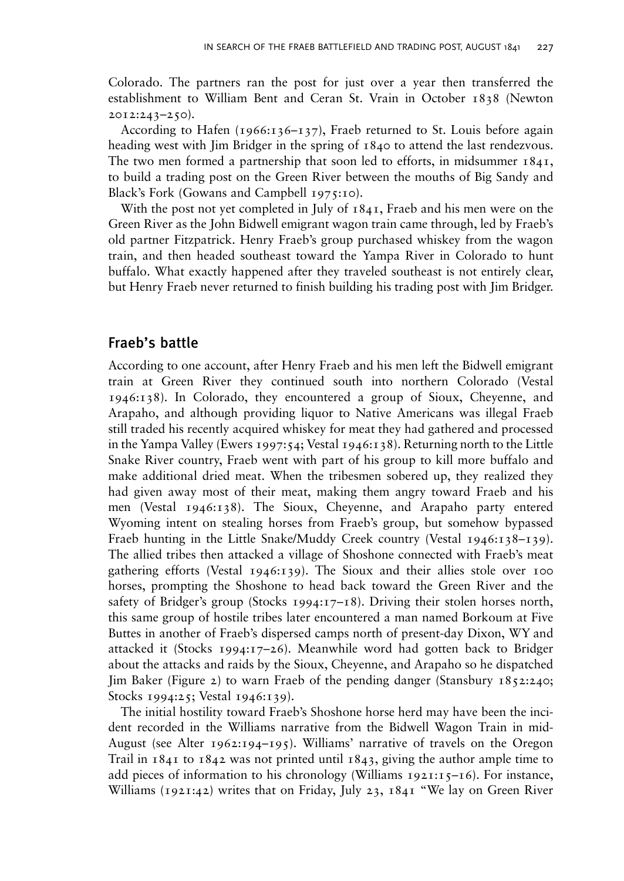Colorado. The partners ran the post for just over a year then transferred the establishment to William Bent and Ceran St. Vrain in October 1838 [\(Newton](#page-20-0) [2012](#page-20-0):243–250).

According to Hafen  $(1966:136 - 137)$ , Fraeb returned to St. Louis before again heading west with Jim Bridger in the spring of 1840 to attend the last rendezvous. The two men formed a partnership that soon led to efforts, in midsummer 1841, to build a trading post on the Green River between the mouths of Big Sandy and Black's Fork [\(Gowans and Campbell 1975:](#page-20-0)10).

With the post not yet completed in July of 1841, Fraeb and his men were on the Green River as the John Bidwell emigrant wagon train came through, led by Fraeb's old partner Fitzpatrick. Henry Fraeb's group purchased whiskey from the wagon train, and then headed southeast toward the Yampa River in Colorado to hunt buffalo. What exactly happened after they traveled southeast is not entirely clear, but Henry Fraeb never returned to finish building his trading post with Jim Bridger.

#### Fraeb's battle

According to one account, after Henry Fraeb and his men left the Bidwell emigrant train at Green River they continued south into northern Colorado [\(Vestal](#page-21-0) [1946](#page-21-0):138). In Colorado, they encountered a group of Sioux, Cheyenne, and Arapaho, and although providing liquor to Native Americans was illegal Fraeb still traded his recently acquired whiskey for meat they had gathered and processed in the Yampa Valley [\(Ewers 1997](#page-19-0):54; [Vestal 1946:](#page-21-0)138). Returning north to the Little Snake River country, Fraeb went with part of his group to kill more buffalo and make additional dried meat. When the tribesmen sobered up, they realized they had given away most of their meat, making them angry toward Fraeb and his men [\(Vestal 1946](#page-21-0):138). The Sioux, Cheyenne, and Arapaho party entered Wyoming intent on stealing horses from Fraeb's group, but somehow bypassed Fraeb hunting in the Little Snake/Muddy Creek country [\(Vestal 1946](#page-21-0):138–139). The allied tribes then attacked a village of Shoshone connected with Fraeb's meat gathering efforts [\(Vestal 1946](#page-21-0):139). The Sioux and their allies stole over 100 horses, prompting the Shoshone to head back toward the Green River and the safety of Bridger's group ([Stocks 1994](#page-21-0):17–18). Driving their stolen horses north, this same group of hostile tribes later encountered a man named Borkoum at Five Buttes in another of Fraeb's dispersed camps north of present-day Dixon, WY and attacked it [\(Stocks 1994:](#page-21-0)17–26). Meanwhile word had gotten back to Bridger about the attacks and raids by the Sioux, Cheyenne, and Arapaho so he dispatched Jim Baker (Figure [2\)](#page-5-0) to warn Fraeb of the pending danger ([Stansbury 1852:](#page-21-0)240; [Stocks 1994:](#page-21-0)25; [Vestal 1946:](#page-21-0)139).

The initial hostility toward Fraeb's Shoshone horse herd may have been the incident recorded in the Williams narrative from the Bidwell Wagon Train in mid-August (see [Alter 1962](#page-19-0):194–195). Williams' narrative of travels on the Oregon Trail in 1841 to 1842 was not printed until 1843, giving the author ample time to add pieces of information to his chronology (Williams  $1921:15-16$ ). For instance, [Williams \(1921:](#page-21-0)42) writes that on Friday, July 23, 1841 "We lay on Green River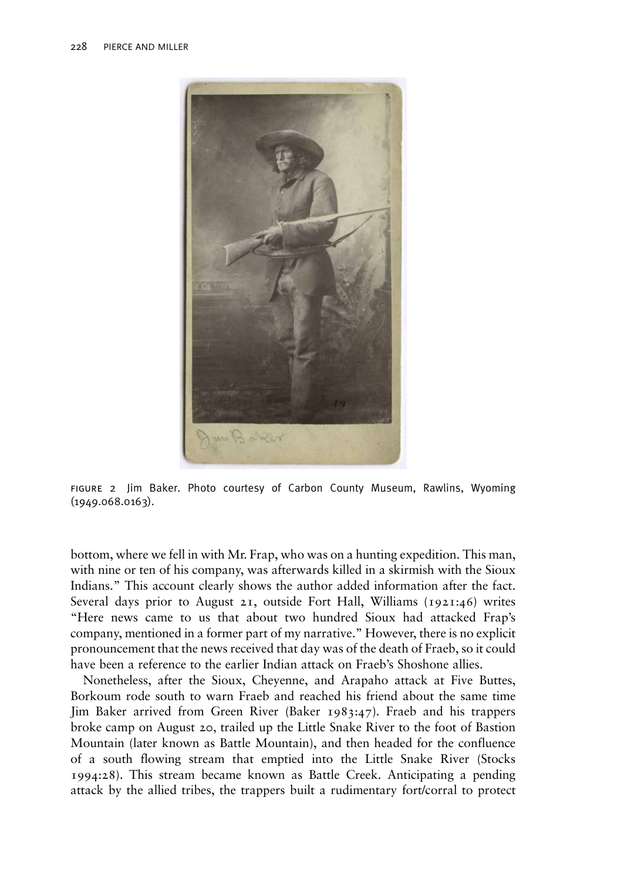<span id="page-5-0"></span>

figure 2 Jim Baker. Photo courtesy of Carbon County Museum, Rawlins, Wyoming (1949.068.0163).

bottom, where we fell in with Mr. Frap, who was on a hunting expedition. This man, with nine or ten of his company, was afterwards killed in a skirmish with the Sioux Indians." This account clearly shows the author added information after the fact. Several days prior to August 21, outside Fort Hall, [Williams \(1921](#page-21-0):46) writes "Here news came to us that about two hundred Sioux had attacked Frap's company, mentioned in a former part of my narrative." However, there is no explicit pronouncement that the news received that day was of the death of Fraeb, so it could have been a reference to the earlier Indian attack on Fraeb's Shoshone allies.

Nonetheless, after the Sioux, Cheyenne, and Arapaho attack at Five Buttes, Borkoum rode south to warn Fraeb and reached his friend about the same time Jim Baker arrived from Green River ([Baker 1983](#page-19-0):47). Fraeb and his trappers broke camp on August 20, trailed up the Little Snake River to the foot of Bastion Mountain (later known as Battle Mountain), and then headed for the confluence of a south flowing stream that emptied into the Little Snake River ([Stocks](#page-21-0) [1994](#page-21-0):28). This stream became known as Battle Creek. Anticipating a pending attack by the allied tribes, the trappers built a rudimentary fort/corral to protect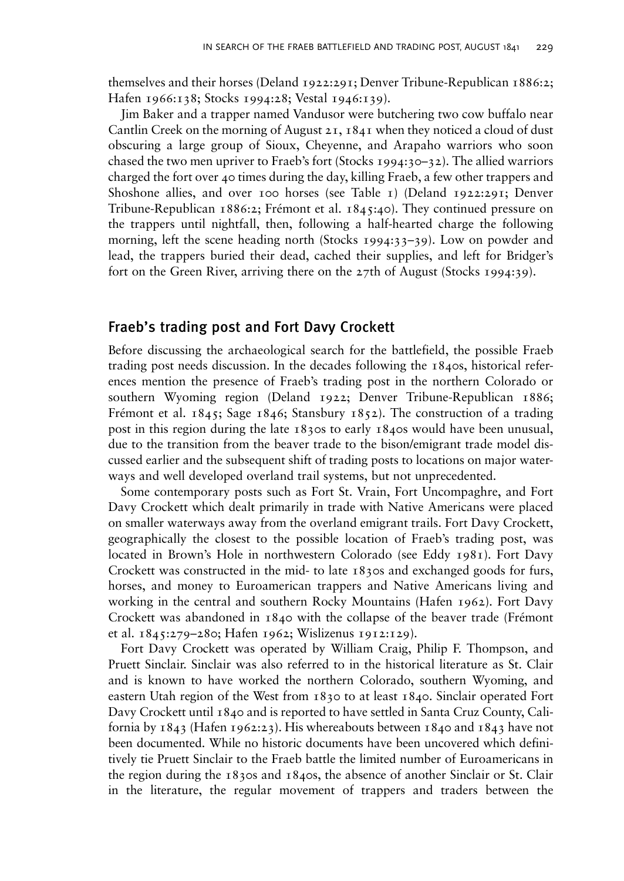themselves and their horses ([Deland 1922](#page-19-0):291; [Denver Tribune-Republican 1886](#page-19-0):2; [Hafen 1966:](#page-20-0)138; [Stocks 1994](#page-21-0):28; [Vestal 1946](#page-21-0):139).

Jim Baker and a trapper named Vandusor were butchering two cow buffalo near Cantlin Creek on the morning of August  $21$ ,  $1841$  when they noticed a cloud of dust obscuring a large group of Sioux, Cheyenne, and Arapaho warriors who soon chased the two men upriver to Fraeb's fort ([Stocks 1994](#page-21-0):30–32). The allied warriors charged the fort over 40 times during the day, killing Fraeb, a few other trappers and Shoshone allies, and over 100 horses (see Table [1](#page-7-0)) [\(Deland 1922](#page-19-0):291; [Denver](#page-19-0) [Tribune-Republican 1886:](#page-19-0)2; [Frémont et al. 1845](#page-20-0):40). They continued pressure on the trappers until nightfall, then, following a half-hearted charge the following morning, left the scene heading north [\(Stocks 1994](#page-21-0):33–39). Low on powder and lead, the trappers buried their dead, cached their supplies, and left for Bridger's fort on the Green River, arriving there on the 27th of August [\(Stocks 1994:](#page-21-0)39).

#### Fraeb's trading post and Fort Davy Crockett

Before discussing the archaeological search for the battlefield, the possible Fraeb trading post needs discussion. In the decades following the 1840s, historical references mention the presence of Fraeb's trading post in the northern Colorado or southern Wyoming region ([Deland 1922; Denver Tribune-Republican 1886](#page-19-0); [Frémont et al. 1845;](#page-20-0) [Sage 1846; Stansbury 1852\)](#page-21-0). The construction of a trading post in this region during the late 1830s to early 1840s would have been unusual, due to the transition from the beaver trade to the bison/emigrant trade model discussed earlier and the subsequent shift of trading posts to locations on major waterways and well developed overland trail systems, but not unprecedented.

Some contemporary posts such as Fort St. Vrain, Fort Uncompaghre, and Fort Davy Crockett which dealt primarily in trade with Native Americans were placed on smaller waterways away from the overland emigrant trails. Fort Davy Crockett, geographically the closest to the possible location of Fraeb's trading post, was located in Brown's Hole in northwestern Colorado (see [Eddy 1981\)](#page-19-0). Fort Davy Crockett was constructed in the mid- to late 1830s and exchanged goods for furs, horses, and money to Euroamerican trappers and Native Americans living and working in the central and southern Rocky Mountains [\(Hafen 1962\)](#page-20-0). Fort Davy Crockett was abandoned in 1840 with the collapse of the beaver trade ([Frémont](#page-20-0) [et al. 1845](#page-20-0):279–280; [Hafen 1962](#page-20-0); [Wislizenus 1912:](#page-21-0)129).

Fort Davy Crockett was operated by William Craig, Philip F. Thompson, and Pruett Sinclair. Sinclair was also referred to in the historical literature as St. Clair and is known to have worked the northern Colorado, southern Wyoming, and eastern Utah region of the West from 1830 to at least 1840. Sinclair operated Fort Davy Crockett until 1840 and is reported to have settled in Santa Cruz County, California by 1843 [\(Hafen 1962:](#page-20-0)23). His whereabouts between 1840 and 1843 have not been documented. While no historic documents have been uncovered which definitively tie Pruett Sinclair to the Fraeb battle the limited number of Euroamericans in the region during the 1830s and 1840s, the absence of another Sinclair or St. Clair in the literature, the regular movement of trappers and traders between the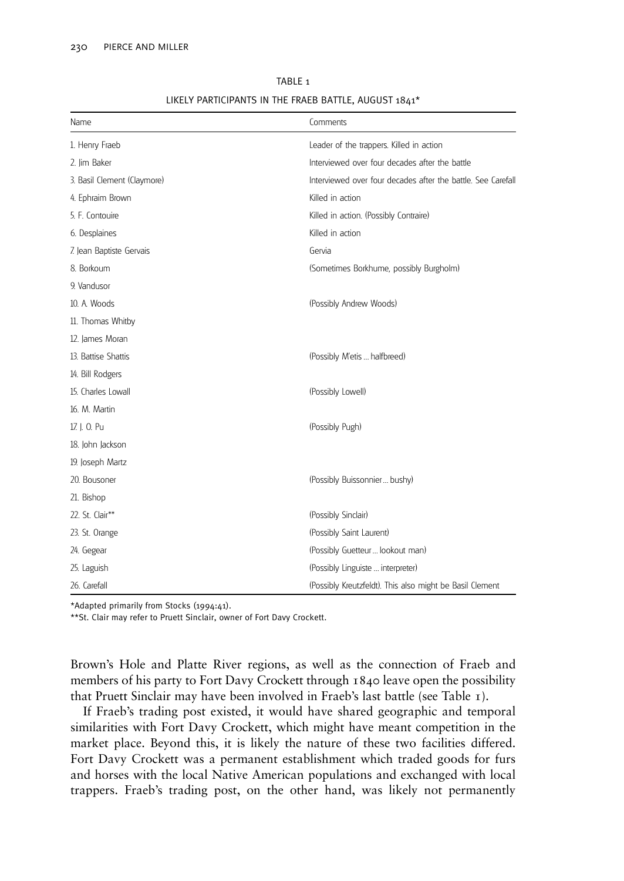<span id="page-7-0"></span>

| Name                                                                                        | Comments                                                 |  |
|---------------------------------------------------------------------------------------------|----------------------------------------------------------|--|
| 1. Henry Fraeb                                                                              | Leader of the trappers. Killed in action                 |  |
| 2. Jim Baker                                                                                | Interviewed over four decades after the battle           |  |
| Interviewed over four decades after the battle. See Carefall<br>3. Basil Clement (Claymore) |                                                          |  |
| 4. Ephraim Brown                                                                            | Killed in action                                         |  |
| 5. F. Contouire                                                                             | Killed in action. (Possibly Contraire)                   |  |
| 6. Desplaines                                                                               | Killed in action                                         |  |
| 7. Jean Baptiste Gervais                                                                    | Gervia                                                   |  |
| 8. Borkoum                                                                                  | (Sometimes Borkhume, possibly Burgholm)                  |  |
| 9 Vandusor                                                                                  |                                                          |  |
| 10. A Woods                                                                                 | (Possibly Andrew Woods)                                  |  |
| 11. Thomas Whitby                                                                           |                                                          |  |
| 12. James Moran                                                                             |                                                          |  |
| 13. Battise Shattis                                                                         | (Possibly M'etis  halfbreed)                             |  |
| 14. Bill Rodgers                                                                            |                                                          |  |
| 15. Charles Lowall                                                                          | (Possibly Lowell)                                        |  |
| 16. M. Martin                                                                               |                                                          |  |
| 17. J. O. Pu                                                                                | (Possibly Pugh)                                          |  |
| 18. John Jackson                                                                            |                                                          |  |
| 19. Joseph Martz                                                                            |                                                          |  |
| 20. Bousoner                                                                                | (Possibly Buissonnier bushy)                             |  |
| 21. Bishop                                                                                  |                                                          |  |
| 22. St. Clair**                                                                             | (Possibly Sinclair)                                      |  |
| 23. St. Orange                                                                              | (Possibly Saint Laurent)                                 |  |
| 24. Gegear                                                                                  | (Possibly Guetteur lookout man)                          |  |
| 25. Laguish                                                                                 | (Possibly Linguiste  interpreter)                        |  |
| 26. Carefall                                                                                | (Possibly Kreutzfeldt). This also might be Basil Clement |  |

TABLE 1 LIKELY PARTICIPANTS IN THE FRAEB BATTLE, AUGUST 1841\*

\*Adapted primarily from [Stocks \(1994:](#page-21-0)41).

\*\*St. Clair may refer to Pruett Sinclair, owner of Fort Davy Crockett.

Brown's Hole and Platte River regions, as well as the connection of Fraeb and members of his party to Fort Davy Crockett through 1840 leave open the possibility that Pruett Sinclair may have been involved in Fraeb's last battle (see Table 1).

If Fraeb's trading post existed, it would have shared geographic and temporal similarities with Fort Davy Crockett, which might have meant competition in the market place. Beyond this, it is likely the nature of these two facilities differed. Fort Davy Crockett was a permanent establishment which traded goods for furs and horses with the local Native American populations and exchanged with local trappers. Fraeb's trading post, on the other hand, was likely not permanently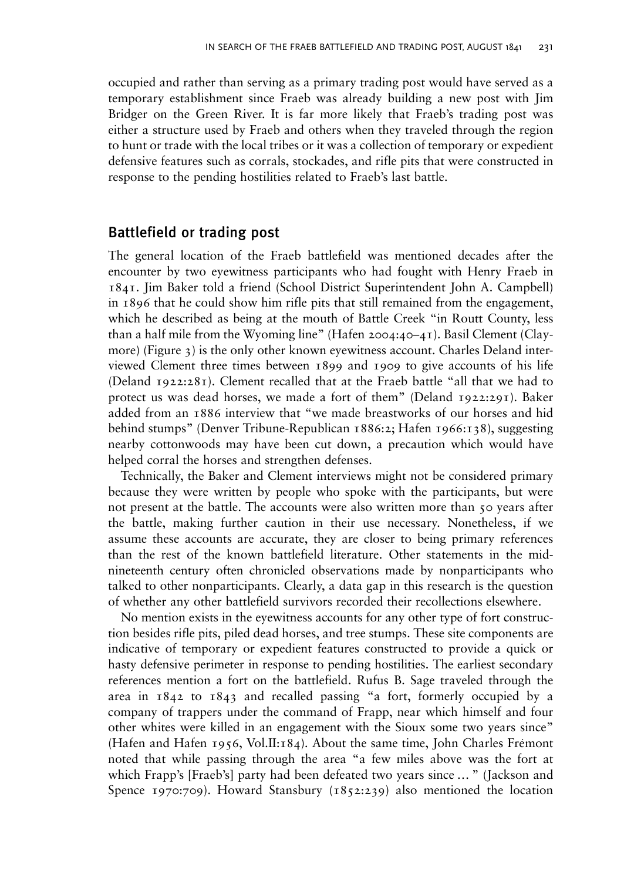occupied and rather than serving as a primary trading post would have served as a temporary establishment since Fraeb was already building a new post with Jim Bridger on the Green River. It is far more likely that Fraeb's trading post was either a structure used by Fraeb and others when they traveled through the region to hunt or trade with the local tribes or it was a collection of temporary or expedient defensive features such as corrals, stockades, and rifle pits that were constructed in response to the pending hostilities related to Fraeb's last battle.

#### Battlefield or trading post

The general location of the Fraeb battlefield was mentioned decades after the encounter by two eyewitness participants who had fought with Henry Fraeb in 1841. Jim Baker told a friend (School District Superintendent John A. Campbell) in 1896 that he could show him rifle pits that still remained from the engagement, which he described as being at the mouth of Battle Creek "in Routt County, less than a half mile from the Wyoming line" ([Hafen 2004:](#page-20-0)40–41). Basil Clement (Claymore) (Figure [3](#page-9-0)) is the only other known eyewitness account. Charles Deland interviewed Clement three times between 1899 and 1909 to give accounts of his life [\(Deland 1922:](#page-19-0)281). Clement recalled that at the Fraeb battle "all that we had to protect us was dead horses, we made a fort of them" [\(Deland 1922](#page-19-0):291). Baker added from an 1886 interview that "we made breastworks of our horses and hid behind stumps" ([Denver Tribune-Republican 1886](#page-19-0):2; [Hafen 1966:](#page-20-0)138), suggesting nearby cottonwoods may have been cut down, a precaution which would have helped corral the horses and strengthen defenses.

Technically, the Baker and Clement interviews might not be considered primary because they were written by people who spoke with the participants, but were not present at the battle. The accounts were also written more than 50 years after the battle, making further caution in their use necessary. Nonetheless, if we assume these accounts are accurate, they are closer to being primary references than the rest of the known battlefield literature. Other statements in the midnineteenth century often chronicled observations made by nonparticipants who talked to other nonparticipants. Clearly, a data gap in this research is the question of whether any other battlefield survivors recorded their recollections elsewhere.

No mention exists in the eyewitness accounts for any other type of fort construction besides rifle pits, piled dead horses, and tree stumps. These site components are indicative of temporary or expedient features constructed to provide a quick or hasty defensive perimeter in response to pending hostilities. The earliest secondary references mention a fort on the battlefield. Rufus B. Sage traveled through the area in 1842 to 1843 and recalled passing "a fort, formerly occupied by a company of trappers under the command of Frapp, near which himself and four other whites were killed in an engagement with the Sioux some two years since" [\(Hafen and Hafen 1956](#page-20-0), Vol.II:184). About the same time, John Charles Fremont noted that while passing through the area "a few miles above was the fort at which Frapp's [Fraeb's] party had been defeated two years since … " [\(Jackson and](#page-20-0) [Spence 1970](#page-20-0):709). Howard Stansbury  $(1852:239)$  also mentioned the location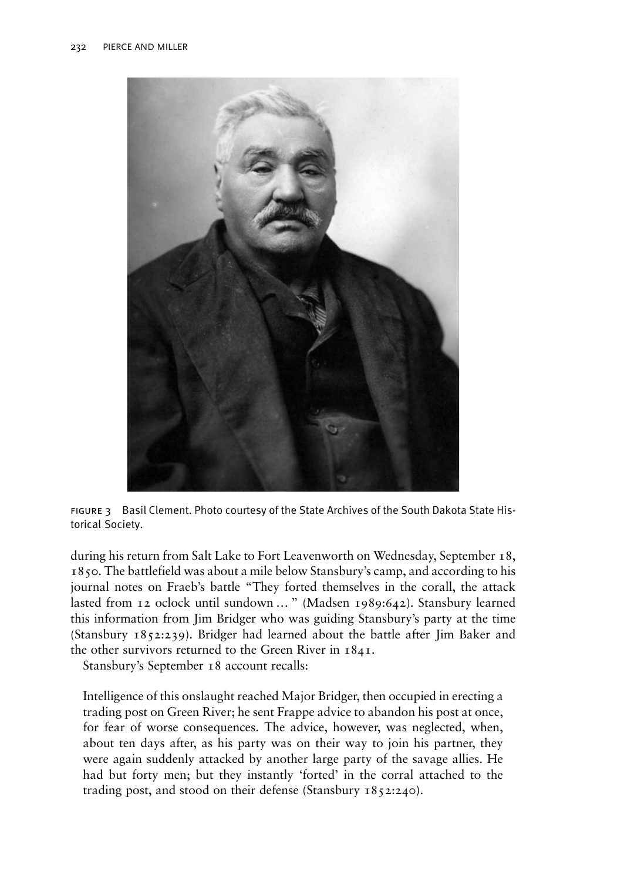<span id="page-9-0"></span>

figure 3 Basil Clement. Photo courtesy of the State Archives of the South Dakota State Historical Society.

during his return from Salt Lake to Fort Leavenworth on Wednesday, September 18, 1850. The battlefield was about a mile below Stansbury's camp, and according to his journal notes on Fraeb's battle "They forted themselves in the corall, the attack lasted from 12 oclock until sundown … " ([Madsen 1989:](#page-20-0)642). Stansbury learned this information from Jim Bridger who was guiding Stansbury's party at the time [\(Stansbury 1852:](#page-21-0)239). Bridger had learned about the battle after Jim Baker and the other survivors returned to the Green River in 1841.

Stansbury's September 18 account recalls:

Intelligence of this onslaught reached Major Bridger, then occupied in erecting a trading post on Green River; he sent Frappe advice to abandon his post at once, for fear of worse consequences. The advice, however, was neglected, when, about ten days after, as his party was on their way to join his partner, they were again suddenly attacked by another large party of the savage allies. He had but forty men; but they instantly 'forted' in the corral attached to the trading post, and stood on their defense ([Stansbury 1852](#page-21-0):240).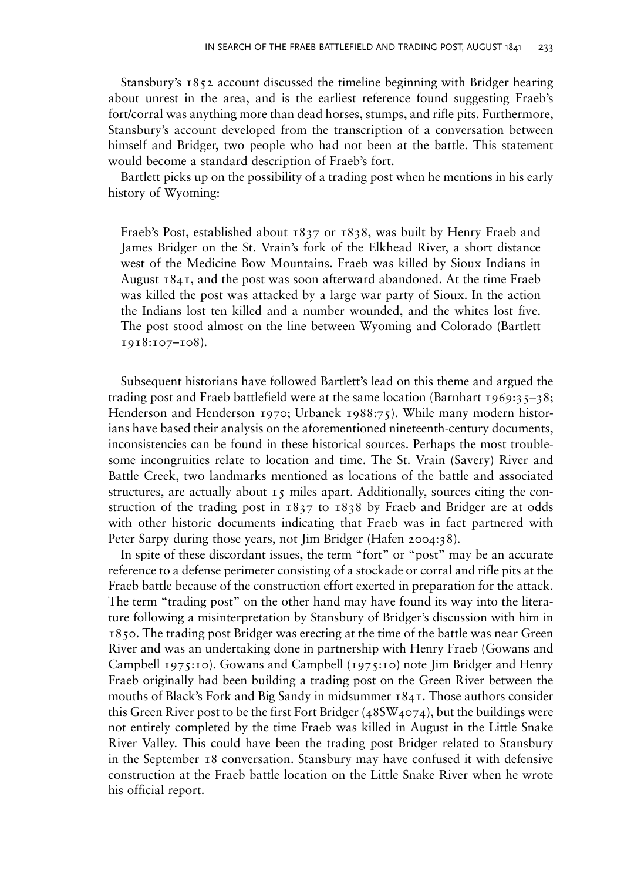Stansbury's 1852 account discussed the timeline beginning with Bridger hearing about unrest in the area, and is the earliest reference found suggesting Fraeb's fort/corral was anything more than dead horses, stumps, and rifle pits. Furthermore, Stansbury's account developed from the transcription of a conversation between himself and Bridger, two people who had not been at the battle. This statement would become a standard description of Fraeb's fort.

Bartlett picks up on the possibility of a trading post when he mentions in his early history of Wyoming:

Fraeb's Post, established about 1837 or 1838, was built by Henry Fraeb and James Bridger on the St. Vrain's fork of the Elkhead River, a short distance west of the Medicine Bow Mountains. Fraeb was killed by Sioux Indians in August 1841, and the post was soon afterward abandoned. At the time Fraeb was killed the post was attacked by a large war party of Sioux. In the action the Indians lost ten killed and a number wounded, and the whites lost five. The post stood almost on the line between Wyoming and Colorado [\(Bartlett](#page-19-0) [1918](#page-19-0):107–108).

Subsequent historians have followed Bartlett's lead on this theme and argued the trading post and Fraeb battlefield were at the same location ([Barnhart 1969](#page-19-0):35–38; [Henderson and Henderson 1970](#page-20-0); [Urbanek 1988:](#page-21-0)75). While many modern historians have based their analysis on the aforementioned nineteenth-century documents, inconsistencies can be found in these historical sources. Perhaps the most troublesome incongruities relate to location and time. The St. Vrain (Savery) River and Battle Creek, two landmarks mentioned as locations of the battle and associated structures, are actually about  $\tau$ , miles apart. Additionally, sources citing the construction of the trading post in  $1837$  to  $1838$  by Fraeb and Bridger are at odds with other historic documents indicating that Fraeb was in fact partnered with Peter Sarpy during those years, not Jim Bridger ([Hafen 2004:](#page-20-0)38).

In spite of these discordant issues, the term "fort" or "post" may be an accurate reference to a defense perimeter consisting of a stockade or corral and rifle pits at the Fraeb battle because of the construction effort exerted in preparation for the attack. The term "trading post" on the other hand may have found its way into the literature following a misinterpretation by Stansbury of Bridger's discussion with him in 1850. The trading post Bridger was erecting at the time of the battle was near Green River and was an undertaking done in partnership with Henry Fraeb ([Gowans and](#page-20-0) [Campbell 1975](#page-20-0):10). [Gowans and Campbell \(1975](#page-20-0):10) note Jim Bridger and Henry Fraeb originally had been building a trading post on the Green River between the mouths of Black's Fork and Big Sandy in midsummer 1841. Those authors consider this Green River post to be the first Fort Bridger  $(48SW_4074)$ , but the buildings were not entirely completed by the time Fraeb was killed in August in the Little Snake River Valley. This could have been the trading post Bridger related to Stansbury in the September 18 conversation. Stansbury may have confused it with defensive construction at the Fraeb battle location on the Little Snake River when he wrote his official report.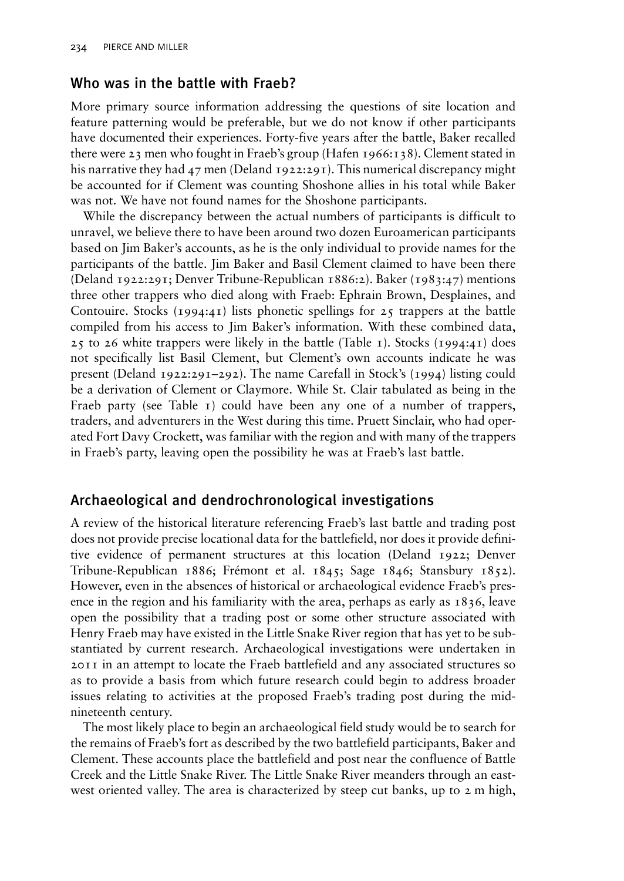# Who was in the battle with Fraeb?

More primary source information addressing the questions of site location and feature patterning would be preferable, but we do not know if other participants have documented their experiences. Forty-five years after the battle, Baker recalled there were 23 men who fought in Fraeb's group [\(Hafen 1966:](#page-20-0)138). Clement stated in his narrative they had 47 men ([Deland 1922:](#page-19-0)291). This numerical discrepancy might be accounted for if Clement was counting Shoshone allies in his total while Baker was not. We have not found names for the Shoshone participants.

While the discrepancy between the actual numbers of participants is difficult to unravel, we believe there to have been around two dozen Euroamerican participants based on Jim Baker's accounts, as he is the only individual to provide names for the participants of the battle. Jim Baker and Basil Clement claimed to have been there [\(Deland 1922:](#page-19-0)291; [Denver Tribune-Republican 1886](#page-19-0):2). [Baker \(1983:](#page-19-0)47) mentions three other trappers who died along with Fraeb: Ephrain Brown, Desplaines, and Contouire. [Stocks \(1994](#page-21-0):41) lists phonetic spellings for  $25$  trappers at the battle compiled from his access to Jim Baker's information. With these combined data,  $25$  to 26 white trappers were likely in the battle (Table [1\)](#page-7-0). [Stocks \(1994](#page-21-0):41) does not specifically list Basil Clement, but Clement's own accounts indicate he was present [\(Deland 1922](#page-19-0):291–292). The name Carefall in Stock'[s \(1994\)](#page-21-0) listing could be a derivation of Clement or Claymore. While St. Clair tabulated as being in the Fraeb party (see Table [1](#page-7-0)) could have been any one of a number of trappers, traders, and adventurers in the West during this time. Pruett Sinclair, who had operated Fort Davy Crockett, was familiar with the region and with many of the trappers in Fraeb's party, leaving open the possibility he was at Fraeb's last battle.

### Archaeological and dendrochronological investigations

A review of the historical literature referencing Fraeb's last battle and trading post does not provide precise locational data for the battlefield, nor does it provide definitive evidence of permanent structures at this location ([Deland 1922; Denver](#page-19-0) [Tribune-Republican 1886;](#page-19-0) [Frémont et al. 1845](#page-20-0); [Sage 1846; Stansbury 1852](#page-21-0)). However, even in the absences of historical or archaeological evidence Fraeb's presence in the region and his familiarity with the area, perhaps as early as 1836, leave open the possibility that a trading post or some other structure associated with Henry Fraeb may have existed in the Little Snake River region that has yet to be substantiated by current research. Archaeological investigations were undertaken in 2011 in an attempt to locate the Fraeb battlefield and any associated structures so as to provide a basis from which future research could begin to address broader issues relating to activities at the proposed Fraeb's trading post during the midnineteenth century.

The most likely place to begin an archaeological field study would be to search for the remains of Fraeb's fort as described by the two battlefield participants, Baker and Clement. These accounts place the battlefield and post near the confluence of Battle Creek and the Little Snake River. The Little Snake River meanders through an eastwest oriented valley. The area is characterized by steep cut banks, up to 2 m high,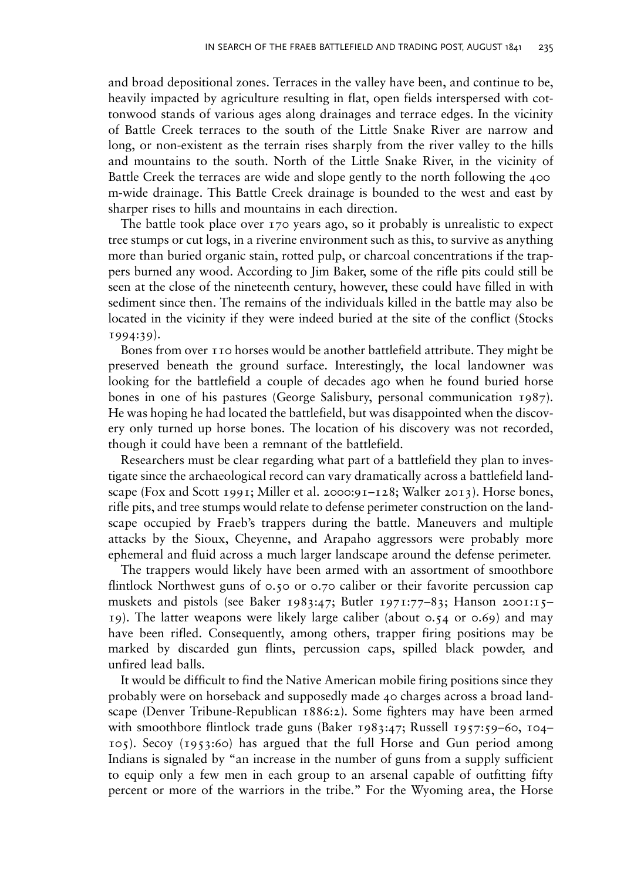and broad depositional zones. Terraces in the valley have been, and continue to be, heavily impacted by agriculture resulting in flat, open fields interspersed with cottonwood stands of various ages along drainages and terrace edges. In the vicinity of Battle Creek terraces to the south of the Little Snake River are narrow and long, or non-existent as the terrain rises sharply from the river valley to the hills and mountains to the south. North of the Little Snake River, in the vicinity of Battle Creek the terraces are wide and slope gently to the north following the 400 m-wide drainage. This Battle Creek drainage is bounded to the west and east by sharper rises to hills and mountains in each direction.

The battle took place over 170 years ago, so it probably is unrealistic to expect tree stumps or cut logs, in a riverine environment such as this, to survive as anything more than buried organic stain, rotted pulp, or charcoal concentrations if the trappers burned any wood. According to Jim Baker, some of the rifle pits could still be seen at the close of the nineteenth century, however, these could have filled in with sediment since then. The remains of the individuals killed in the battle may also be located in the vicinity if they were indeed buried at the site of the conflict [\(Stocks](#page-21-0) [1994](#page-21-0):39).

Bones from over 110 horses would be another battlefield attribute. They might be preserved beneath the ground surface. Interestingly, the local landowner was looking for the battlefield a couple of decades ago when he found buried horse bones in one of his pastures (George Salisbury, personal communication 1987). He was hoping he had located the battlefield, but was disappointed when the discovery only turned up horse bones. The location of his discovery was not recorded, though it could have been a remnant of the battlefield.

Researchers must be clear regarding what part of a battlefield they plan to investigate since the archaeological record can vary dramatically across a battlefield land-scape [\(Fox and Scott 1991](#page-20-0); [Miller et al. 2000](#page-20-0):91–128; [Walker 2013](#page-21-0)). Horse bones, rifle pits, and tree stumps would relate to defense perimeter construction on the landscape occupied by Fraeb's trappers during the battle. Maneuvers and multiple attacks by the Sioux, Cheyenne, and Arapaho aggressors were probably more ephemeral and fluid across a much larger landscape around the defense perimeter.

The trappers would likely have been armed with an assortment of smoothbore flintlock Northwest guns of 0.50 or 0.70 caliber or their favorite percussion cap muskets and pistols (see [Baker 1983:](#page-19-0)47; [Butler 1971:](#page-19-0)77–83; [Hanson 2001](#page-20-0):15– 19). The latter weapons were likely large caliber (about 0.54 or 0.69) and may have been rifled. Consequently, among others, trapper firing positions may be marked by discarded gun flints, percussion caps, spilled black powder, and unfired lead balls.

It would be difficult to find the Native American mobile firing positions since they probably were on horseback and supposedly made 40 charges across a broad landscape [\(Denver Tribune-Republican 1886](#page-19-0):2). Some fighters may have been armed with smoothbore flintlock trade guns [\(Baker 1983:](#page-19-0)47; [Russell 1957](#page-21-0):59–60, 104– 105). [Secoy \(1953:](#page-21-0)60) has argued that the full Horse and Gun period among Indians is signaled by "an increase in the number of guns from a supply sufficient to equip only a few men in each group to an arsenal capable of outfitting fifty percent or more of the warriors in the tribe." For the Wyoming area, the Horse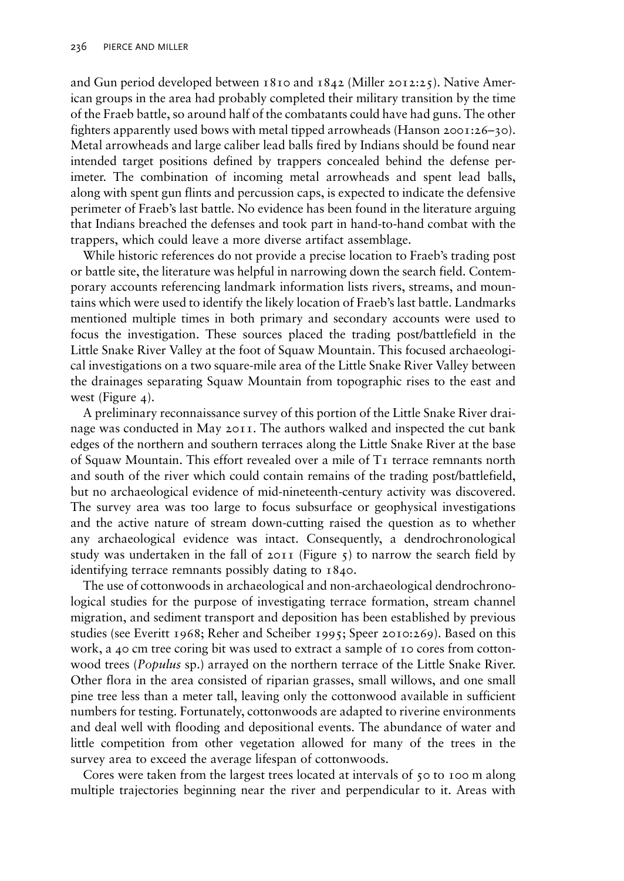and Gun period developed between 1810 and 1842 ([Miller 2012:](#page-20-0)25). Native American groups in the area had probably completed their military transition by the time of the Fraeb battle, so around half of the combatants could have had guns. The other fighters apparently used bows with metal tipped arrowheads [\(Hanson 2001](#page-20-0):26–30). Metal arrowheads and large caliber lead balls fired by Indians should be found near intended target positions defined by trappers concealed behind the defense perimeter. The combination of incoming metal arrowheads and spent lead balls, along with spent gun flints and percussion caps, is expected to indicate the defensive perimeter of Fraeb's last battle. No evidence has been found in the literature arguing that Indians breached the defenses and took part in hand-to-hand combat with the trappers, which could leave a more diverse artifact assemblage.

While historic references do not provide a precise location to Fraeb's trading post or battle site, the literature was helpful in narrowing down the search field. Contemporary accounts referencing landmark information lists rivers, streams, and mountains which were used to identify the likely location of Fraeb's last battle. Landmarks mentioned multiple times in both primary and secondary accounts were used to focus the investigation. These sources placed the trading post/battlefield in the Little Snake River Valley at the foot of Squaw Mountain. This focused archaeological investigations on a two square-mile area of the Little Snake River Valley between the drainages separating Squaw Mountain from topographic rises to the east and west (Figure  $4$ ).

A preliminary reconnaissance survey of this portion of the Little Snake River drainage was conducted in May 2011. The authors walked and inspected the cut bank edges of the northern and southern terraces along the Little Snake River at the base of Squaw Mountain. This effort revealed over a mile of T1 terrace remnants north and south of the river which could contain remains of the trading post/battlefield, but no archaeological evidence of mid-nineteenth-century activity was discovered. The survey area was too large to focus subsurface or geophysical investigations and the active nature of stream down-cutting raised the question as to whether any archaeological evidence was intact. Consequently, a dendrochronological study was undertaken in the fall of  $20I<sub>I</sub>$  (Figure [5\)](#page-15-0) to narrow the search field by identifying terrace remnants possibly dating to 1840.

The use of cottonwoods in archaeological and non-archaeological dendrochronological studies for the purpose of investigating terrace formation, stream channel migration, and sediment transport and deposition has been established by previous studies (see [Everitt 1968;](#page-19-0) [Reher and Scheiber 1995](#page-21-0); [Speer 2010:](#page-21-0)269). Based on this work, a 40 cm tree coring bit was used to extract a sample of 10 cores from cottonwood trees (Populus sp.) arrayed on the northern terrace of the Little Snake River. Other flora in the area consisted of riparian grasses, small willows, and one small pine tree less than a meter tall, leaving only the cottonwood available in sufficient numbers for testing. Fortunately, cottonwoods are adapted to riverine environments and deal well with flooding and depositional events. The abundance of water and little competition from other vegetation allowed for many of the trees in the survey area to exceed the average lifespan of cottonwoods.

Cores were taken from the largest trees located at intervals of 50 to 100 m along multiple trajectories beginning near the river and perpendicular to it. Areas with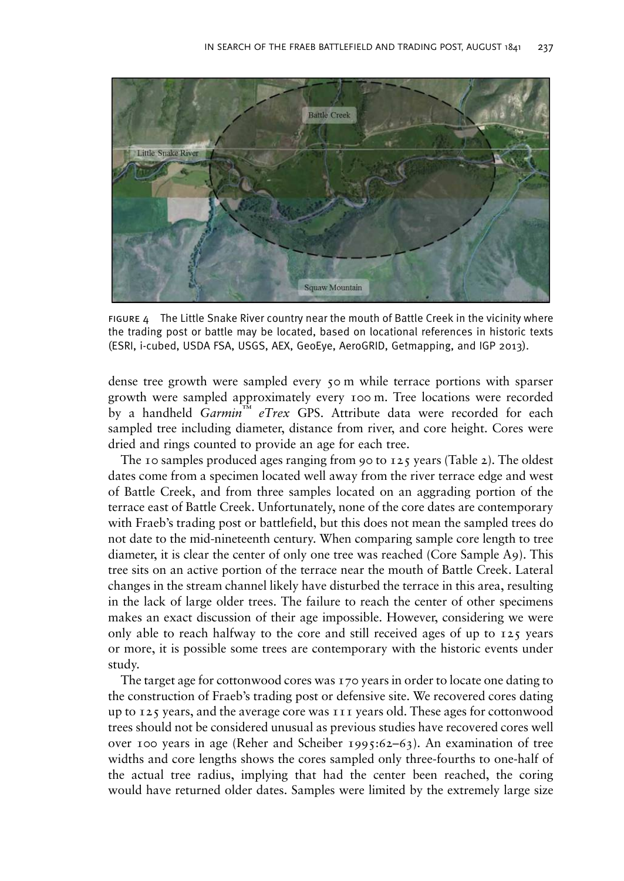<span id="page-14-0"></span>

FIGURE 4 The Little Snake River country near the mouth of Battle Creek in the vicinity where the trading post or battle may be located, based on locational references in historic texts ([ESRI, i-cubed, USDA FSA, USGS, AEX, GeoEye, AeroGRID, Getmapping, and IGP 2013](#page-19-0)).

dense tree growth were sampled every 50 m while terrace portions with sparser growth were sampled approximately every 100 m. Tree locations were recorded by a handheld  $Gamma^m$  eTrex GPS. Attribute data were recorded for each sampled tree including diameter, distance from river, and core height. Cores were dried and rings counted to provide an age for each tree.

The 10 samples produced ages ranging from 90 to 125 years (Table [2\)](#page-15-0). The oldest dates come from a specimen located well away from the river terrace edge and west of Battle Creek, and from three samples located on an aggrading portion of the terrace east of Battle Creek. Unfortunately, none of the core dates are contemporary with Fraeb's trading post or battlefield, but this does not mean the sampled trees do not date to the mid-nineteenth century. When comparing sample core length to tree diameter, it is clear the center of only one tree was reached (Core Sample A9). This tree sits on an active portion of the terrace near the mouth of Battle Creek. Lateral changes in the stream channel likely have disturbed the terrace in this area, resulting in the lack of large older trees. The failure to reach the center of other specimens makes an exact discussion of their age impossible. However, considering we were only able to reach halfway to the core and still received ages of up to  $125$  years or more, it is possible some trees are contemporary with the historic events under study.

The target age for cottonwood cores was 170 years in order to locate one dating to the construction of Fraeb's trading post or defensive site. We recovered cores dating up to  $125$  years, and the average core was  $111$  years old. These ages for cottonwood trees should not be considered unusual as previous studies have recovered cores well over 100 years in age [\(Reher and Scheiber 1995:](#page-21-0)62–63). An examination of tree widths and core lengths shows the cores sampled only three-fourths to one-half of the actual tree radius, implying that had the center been reached, the coring would have returned older dates. Samples were limited by the extremely large size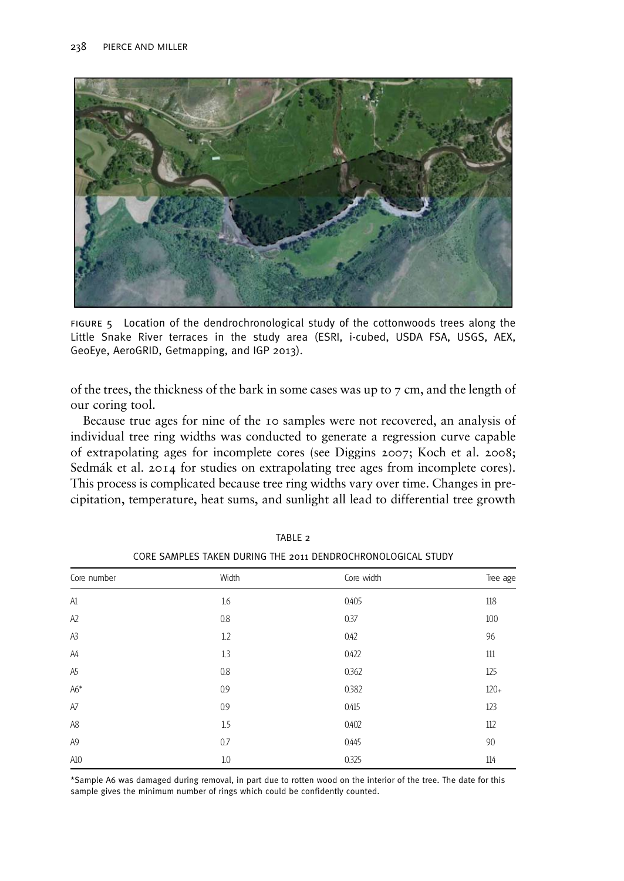<span id="page-15-0"></span>

figure 5 Location of the dendrochronological study of the cottonwoods trees along the Little Snake River terraces in the study area ([ESRI, i-cubed, USDA FSA, USGS, AEX,](#page-19-0) [GeoEye, AeroGRID, Getmapping, and IGP 2013](#page-19-0)).

of the trees, the thickness of the bark in some cases was up to  $7 \text{ cm}$ , and the length of our coring tool.

Because true ages for nine of the 10 samples were not recovered, an analysis of individual tree ring widths was conducted to generate a regression curve capable of extrapolating ages for incomplete cores (see [Diggins 2007](#page-19-0); [Koch et al. 2008](#page-20-0); [Sedmák et al. 2014](#page-21-0) for studies on extrapolating tree ages from incomplete cores). This process is complicated because tree ring widths vary over time. Changes in precipitation, temperature, heat sums, and sunlight all lead to differential tree growth

| CORE SAMPLES TAKEN DURING THE 2011 DENDROCHRONOLOGICAL STUDY |       |            |          |
|--------------------------------------------------------------|-------|------------|----------|
| Core number                                                  | Width | Core width | Tree age |
| A1                                                           | 1.6   | 0.405      | 118      |
| A2                                                           | 0.8   | 0.37       | 100      |
| A <sup>3</sup>                                               | 1.2   | 0.42       | 96       |
| A4                                                           | 1.3   | 0.422      | 111      |
| A5                                                           | 0.8   | 0.362      | 125      |
| $A6*$                                                        | 0.9   | 0.382      | $120+$   |
| A7                                                           | 0.9   | 0.415      | 123      |
| A <sub>8</sub>                                               | 1.5   | 0.402      | 112      |
| A <sub>9</sub>                                               | 0.7   | 0.445      | 90       |
| A10                                                          | 1.0   | 0.325      | 114      |

TABLE 2

\*Sample A6 was damaged during removal, in part due to rotten wood on the interior of the tree. The date for this sample gives the minimum number of rings which could be confidently counted.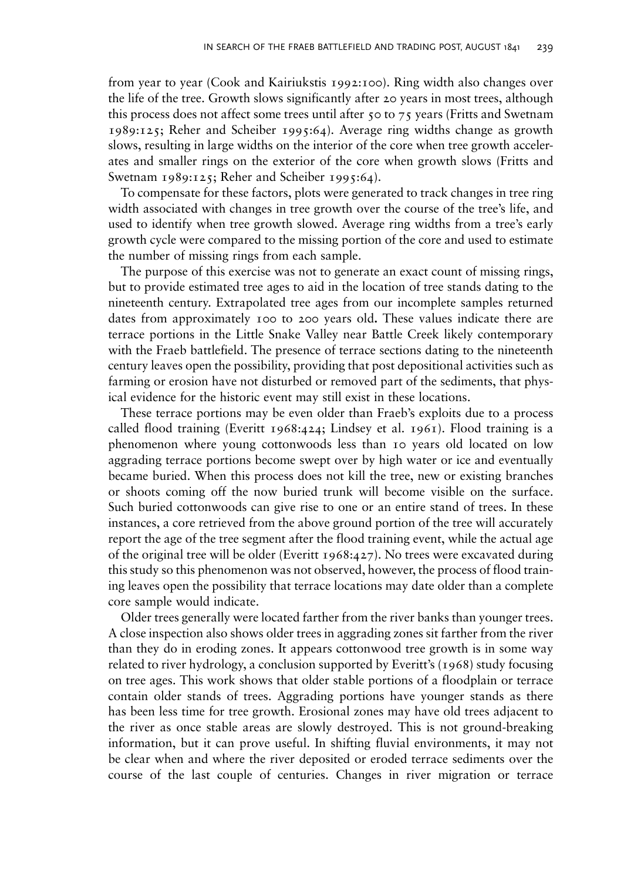from year to year ([Cook and Kairiukstis 1992:](#page-19-0)100). Ring width also changes over the life of the tree. Growth slows significantly after 20 years in most trees, although this process does not affect some trees until after  $\zeta$  to  $\zeta$  years ([Fritts and Swetnam](#page-20-0) [1989](#page-20-0):125; [Reher and Scheiber 1995:](#page-21-0)64). Average ring widths change as growth slows, resulting in large widths on the interior of the core when tree growth accelerates and smaller rings on the exterior of the core when growth slows ([Fritts and](#page-20-0) [Swetnam 1989](#page-20-0):125; [Reher and Scheiber 1995](#page-21-0):64).

To compensate for these factors, plots were generated to track changes in tree ring width associated with changes in tree growth over the course of the tree's life, and used to identify when tree growth slowed. Average ring widths from a tree's early growth cycle were compared to the missing portion of the core and used to estimate the number of missing rings from each sample.

The purpose of this exercise was not to generate an exact count of missing rings, but to provide estimated tree ages to aid in the location of tree stands dating to the nineteenth century. Extrapolated tree ages from our incomplete samples returned dates from approximately 100 to 200 years old. These values indicate there are terrace portions in the Little Snake Valley near Battle Creek likely contemporary with the Fraeb battlefield. The presence of terrace sections dating to the nineteenth century leaves open the possibility, providing that post depositional activities such as farming or erosion have not disturbed or removed part of the sediments, that physical evidence for the historic event may still exist in these locations.

These terrace portions may be even older than Fraeb's exploits due to a process called flood training [\(Everitt 1968:](#page-19-0)424; [Lindsey et al. 1961\)](#page-20-0). Flood training is a phenomenon where young cottonwoods less than 10 years old located on low aggrading terrace portions become swept over by high water or ice and eventually became buried. When this process does not kill the tree, new or existing branches or shoots coming off the now buried trunk will become visible on the surface. Such buried cottonwoods can give rise to one or an entire stand of trees. In these instances, a core retrieved from the above ground portion of the tree will accurately report the age of the tree segment after the flood training event, while the actual age of the original tree will be older [\(Everitt 1968](#page-19-0):427). No trees were excavated during this study so this phenomenon was not observed, however, the process of flood training leaves open the possibility that terrace locations may date older than a complete core sample would indicate.

Older trees generally were located farther from the river banks than younger trees. A close inspection also shows older trees in aggrading zones sit farther from the river than they do in eroding zones. It appears cottonwood tree growth is in some way related to river hydrology, a conclusion supported by Everitt'[s \(1968\)](#page-19-0) study focusing on tree ages. This work shows that older stable portions of a floodplain or terrace contain older stands of trees. Aggrading portions have younger stands as there has been less time for tree growth. Erosional zones may have old trees adjacent to the river as once stable areas are slowly destroyed. This is not ground-breaking information, but it can prove useful. In shifting fluvial environments, it may not be clear when and where the river deposited or eroded terrace sediments over the course of the last couple of centuries. Changes in river migration or terrace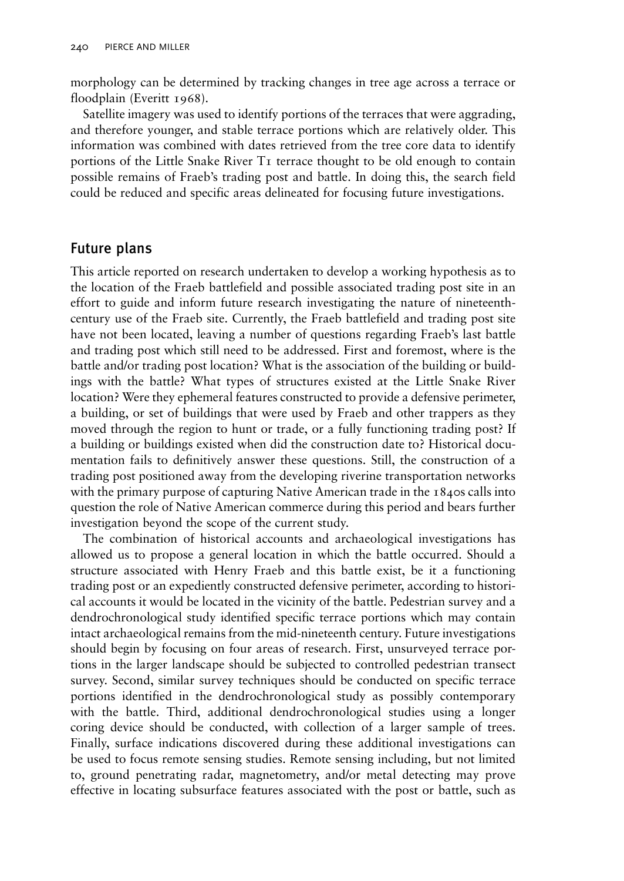morphology can be determined by tracking changes in tree age across a terrace or floodplain [\(Everitt 1968\)](#page-19-0).

Satellite imagery was used to identify portions of the terraces that were aggrading, and therefore younger, and stable terrace portions which are relatively older. This information was combined with dates retrieved from the tree core data to identify portions of the Little Snake River T1 terrace thought to be old enough to contain possible remains of Fraeb's trading post and battle. In doing this, the search field could be reduced and specific areas delineated for focusing future investigations.

### Future plans

This article reported on research undertaken to develop a working hypothesis as to the location of the Fraeb battlefield and possible associated trading post site in an effort to guide and inform future research investigating the nature of nineteenthcentury use of the Fraeb site. Currently, the Fraeb battlefield and trading post site have not been located, leaving a number of questions regarding Fraeb's last battle and trading post which still need to be addressed. First and foremost, where is the battle and/or trading post location? What is the association of the building or buildings with the battle? What types of structures existed at the Little Snake River location? Were they ephemeral features constructed to provide a defensive perimeter, a building, or set of buildings that were used by Fraeb and other trappers as they moved through the region to hunt or trade, or a fully functioning trading post? If a building or buildings existed when did the construction date to? Historical documentation fails to definitively answer these questions. Still, the construction of a trading post positioned away from the developing riverine transportation networks with the primary purpose of capturing Native American trade in the 1840s calls into question the role of Native American commerce during this period and bears further investigation beyond the scope of the current study.

The combination of historical accounts and archaeological investigations has allowed us to propose a general location in which the battle occurred. Should a structure associated with Henry Fraeb and this battle exist, be it a functioning trading post or an expediently constructed defensive perimeter, according to historical accounts it would be located in the vicinity of the battle. Pedestrian survey and a dendrochronological study identified specific terrace portions which may contain intact archaeological remains from the mid-nineteenth century. Future investigations should begin by focusing on four areas of research. First, unsurveyed terrace portions in the larger landscape should be subjected to controlled pedestrian transect survey. Second, similar survey techniques should be conducted on specific terrace portions identified in the dendrochronological study as possibly contemporary with the battle. Third, additional dendrochronological studies using a longer coring device should be conducted, with collection of a larger sample of trees. Finally, surface indications discovered during these additional investigations can be used to focus remote sensing studies. Remote sensing including, but not limited to, ground penetrating radar, magnetometry, and/or metal detecting may prove effective in locating subsurface features associated with the post or battle, such as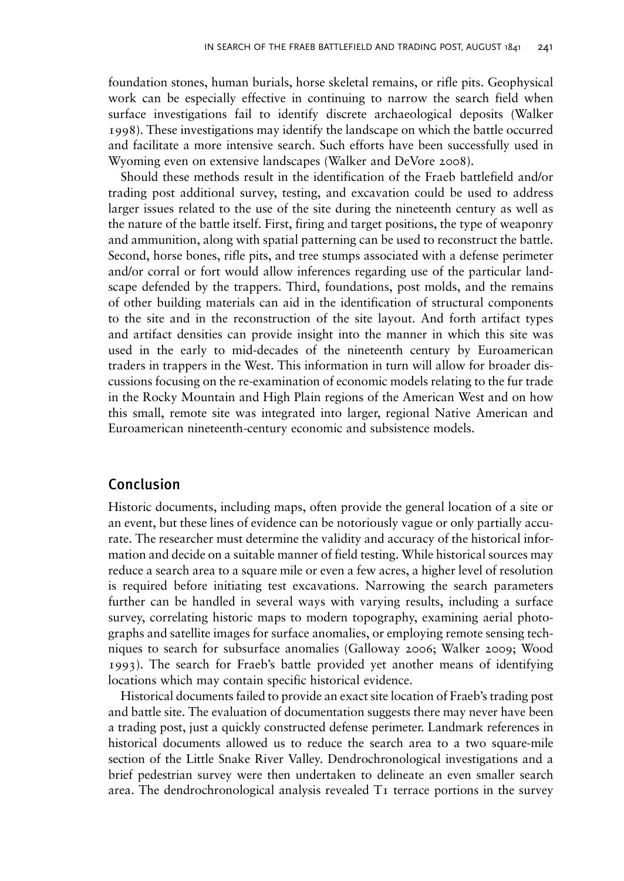foundation stones, human burials, horse skeletal remains, or rifle pits. Geophysical work can be especially effective in continuing to narrow the search field when surface investigations fail to identify discrete archaeological deposits [\(Walker](#page-21-0) [1998](#page-21-0)). These investigations may identify the landscape on which the battle occurred and facilitate a more intensive search. Such efforts have been successfully used in Wyoming even on extensive landscapes ([Walker and DeVore 2008\)](#page-21-0).

Should these methods result in the identification of the Fraeb battlefield and/or trading post additional survey, testing, and excavation could be used to address larger issues related to the use of the site during the nineteenth century as well as the nature of the battle itself. First, firing and target positions, the type of weaponry and ammunition, along with spatial patterning can be used to reconstruct the battle. Second, horse bones, rifle pits, and tree stumps associated with a defense perimeter and/or corral or fort would allow inferences regarding use of the particular landscape defended by the trappers. Third, foundations, post molds, and the remains of other building materials can aid in the identification of structural components to the site and in the reconstruction of the site layout. And forth artifact types and artifact densities can provide insight into the manner in which this site was used in the early to mid-decades of the nineteenth century by Euroamerican traders in trappers in the West. This information in turn will allow for broader discussions focusing on the re-examination of economic models relating to the fur trade in the Rocky Mountain and High Plain regions of the American West and on how this small, remote site was integrated into larger, regional Native American and Euroamerican nineteenth-century economic and subsistence models.

#### Conclusion

Historic documents, including maps, often provide the general location of a site or an event, but these lines of evidence can be notoriously vague or only partially accurate. The researcher must determine the validity and accuracy of the historical information and decide on a suitable manner of field testing. While historical sources may reduce a search area to a square mile or even a few acres, a higher level of resolution is required before initiating test excavations. Narrowing the search parameters further can be handled in several ways with varying results, including a surface survey, correlating historic maps to modern topography, examining aerial photographs and satellite images for surface anomalies, or employing remote sensing techniques to search for subsurface anomalies ([Galloway 2006](#page-20-0); [Walker 2009; Wood](#page-21-0) [1993](#page-21-0)). The search for Fraeb's battle provided yet another means of identifying locations which may contain specific historical evidence.

Historical documents failed to provide an exact site location of Fraeb's trading post and battle site. The evaluation of documentation suggests there may never have been a trading post, just a quickly constructed defense perimeter. Landmark references in historical documents allowed us to reduce the search area to a two square-mile section of the Little Snake River Valley. Dendrochronological investigations and a brief pedestrian survey were then undertaken to delineate an even smaller search area. The dendrochronological analysis revealed  $T_1$  terrace portions in the survey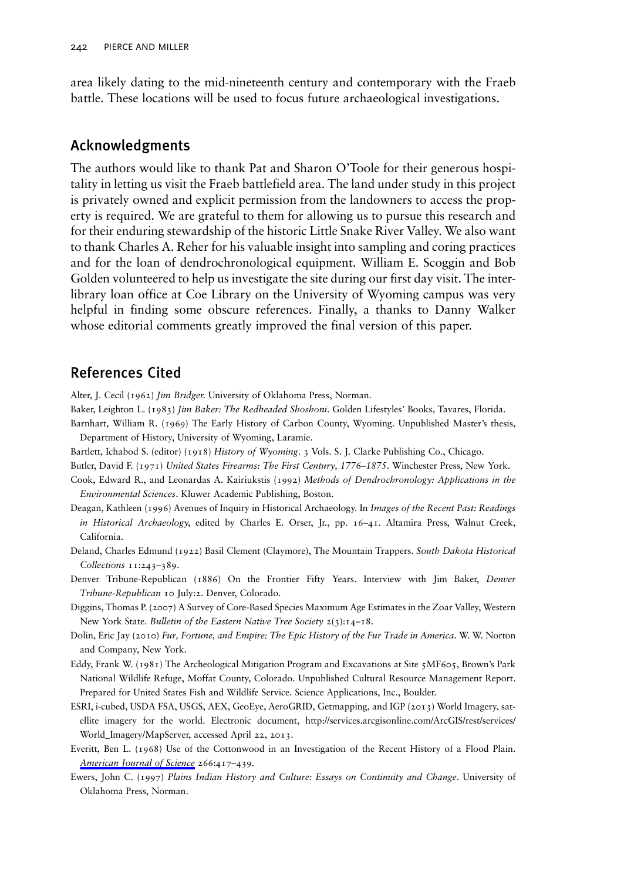<span id="page-19-0"></span>area likely dating to the mid-nineteenth century and contemporary with the Fraeb battle. These locations will be used to focus future archaeological investigations.

#### Acknowledgments

The authors would like to thank Pat and Sharon O'Toole for their generous hospitality in letting us visit the Fraeb battlefield area. The land under study in this project is privately owned and explicit permission from the landowners to access the property is required. We are grateful to them for allowing us to pursue this research and for their enduring stewardship of the historic Little Snake River Valley. We also want to thank Charles A. Reher for his valuable insight into sampling and coring practices and for the loan of dendrochronological equipment. William E. Scoggin and Bob Golden volunteered to help us investigate the site during our first day visit. The interlibrary loan office at Coe Library on the University of Wyoming campus was very helpful in finding some obscure references. Finally, a thanks to Danny Walker whose editorial comments greatly improved the final version of this paper.

# References Cited

Alter, J. Cecil (1962) Jim Bridger. University of Oklahoma Press, Norman.

- Baker, Leighton L. (1983) Jim Baker: The Redheaded Shoshoni. Golden Lifestyles' Books, Tavares, Florida.
- Barnhart, William R. (1969) The Early History of Carbon County, Wyoming. Unpublished Master's thesis, Department of History, University of Wyoming, Laramie.
- Bartlett, Ichabod S. (editor) (1918) History of Wyoming. 3 Vols. S. J. Clarke Publishing Co., Chicago.
- Butler, David F. (1971) United States Firearms: The First Century, 1776–1875. Winchester Press, New York.
- Cook, Edward R., and Leonardas A. Kairiukstis (1992) Methods of Dendrochronology: Applications in the Environmental Sciences. Kluwer Academic Publishing, Boston.
- Deagan, Kathleen (1996) Avenues of Inquiry in Historical Archaeology. In Images of the Recent Past: Readings in Historical Archaeology, edited by Charles E. Orser, Jr., pp. 16-41. Altamira Press, Walnut Creek, California.
- Deland, Charles Edmund (1922) Basil Clement (Claymore), The Mountain Trappers. South Dakota Historical Collections 11:243-389.
- Denver Tribune-Republican (1886) On the Frontier Fifty Years. Interview with Jim Baker, Denver Tribune-Republican 10 July:2. Denver, Colorado.
- Diggins, Thomas P. (2007) A Survey of Core-Based Species Maximum Age Estimates in the Zoar Valley, Western New York State. Bulletin of the Eastern Native Tree Society 2(3):14–18.
- Dolin, Eric Jay (2010) Fur, Fortune, and Empire: The Epic History of the Fur Trade in America. W. W. Norton and Company, New York.
- Eddy, Frank W. (1981) The Archeological Mitigation Program and Excavations at Site 5MF605, Brown's Park National Wildlife Refuge, Moffat County, Colorado. Unpublished Cultural Resource Management Report. Prepared for United States Fish and Wildlife Service. Science Applications, Inc., Boulder.
- ESRI, i-cubed, USDA FSA, USGS, AEX, GeoEye, AeroGRID, Getmapping, and IGP (2013) World Imagery, satellite imagery for the world. Electronic document, [http://services.arcgisonline.com/ArcGIS/rest/services/](http://services.arcgisonline.com/ArcGIS/rest/services/World_Imagery/MapServer) World Imagery/MapServer, accessed April 22, 2013.
- Everitt, Ben L. (1968) Use of the Cottonwood in an Investigation of the Recent History of a Flood Plain. [American Journal of Science](http://www.maneyonline.com/action/showLinks?crossref=10.2475%2Fajs.266.6.417&isi=A1968B179200001) 266:417-439.
- Ewers, John C. (1997) Plains Indian History and Culture: Essays on Continuity and Change. University of Oklahoma Press, Norman.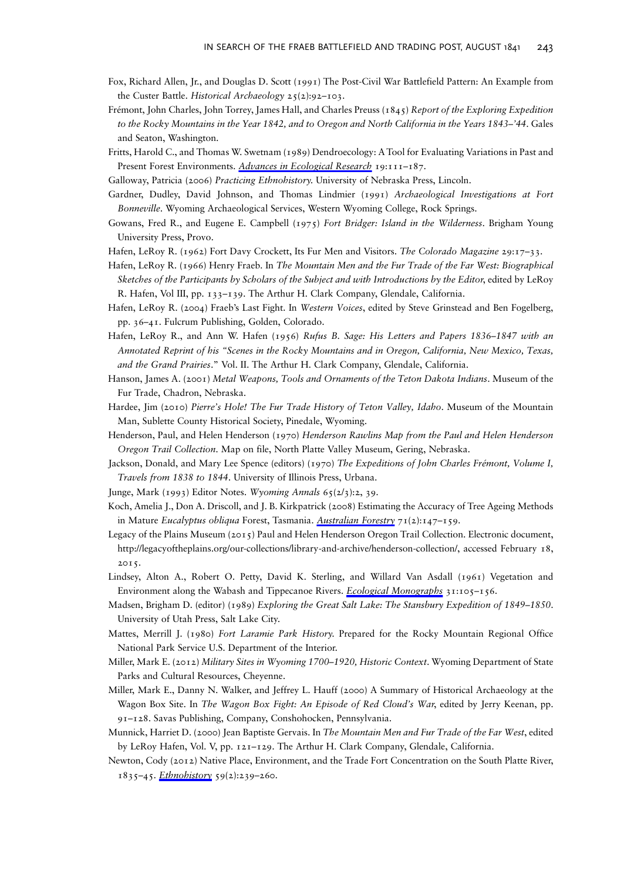- <span id="page-20-0"></span>Fox, Richard Allen, Jr., and Douglas D. Scott (1991) The Post-Civil War Battlefield Pattern: An Example from the Custer Battle. Historical Archaeology 25(2):92–103.
- Frémont, John Charles, John Torrey, James Hall, and Charles Preuss (1845) Report of the Exploring Expedition to the Rocky Mountains in the Year 1842, and to Oregon and North California in the Years 1843–'44. Gales and Seaton, Washington.
- Fritts, Harold C., and Thomas W. Swetnam (1989) Dendroecology: A Tool for Evaluating Variations in Past and Present Forest Environments. [Advances in Ecological Research](http://www.maneyonline.com/action/showLinks?crossref=10.1016%2FS0065-2504%2808%2960158-0&isi=A1989CX58800003) 19:111-187.
- Galloway, Patricia (2006) Practicing Ethnohistory. University of Nebraska Press, Lincoln.
- Gardner, Dudley, David Johnson, and Thomas Lindmier (1991) Archaeological Investigations at Fort Bonneville. Wyoming Archaeological Services, Western Wyoming College, Rock Springs.
- Gowans, Fred R., and Eugene E. Campbell (1975) Fort Bridger: Island in the Wilderness. Brigham Young University Press, Provo.
- Hafen, LeRoy R. (1962) Fort Davy Crockett, Its Fur Men and Visitors. The Colorado Magazine 29:17-33.
- Hafen, LeRoy R. (1966) Henry Fraeb. In The Mountain Men and the Fur Trade of the Far West: Biographical Sketches of the Participants by Scholars of the Subject and with Introductions by the Editor, edited by LeRoy R. Hafen, Vol III, pp. 133–139. The Arthur H. Clark Company, Glendale, California.
- Hafen, LeRoy R. (2004) Fraeb's Last Fight. In Western Voices, edited by Steve Grinstead and Ben Fogelberg, pp. 36–41. Fulcrum Publishing, Golden, Colorado.
- Hafen, LeRoy R., and Ann W. Hafen (1956) Rufus B. Sage: His Letters and Papers 1836–1847 with an Annotated Reprint of his "Scenes in the Rocky Mountains and in Oregon, California, New Mexico, Texas, and the Grand Prairies." Vol. II. The Arthur H. Clark Company, Glendale, California.
- Hanson, James A. (2001) Metal Weapons, Tools and Ornaments of the Teton Dakota Indians. Museum of the Fur Trade, Chadron, Nebraska.
- Hardee, Jim (2010) Pierre's Hole! The Fur Trade History of Teton Valley, Idaho. Museum of the Mountain Man, Sublette County Historical Society, Pinedale, Wyoming.
- Henderson, Paul, and Helen Henderson (1970) Henderson Rawlins Map from the Paul and Helen Henderson Oregon Trail Collection. Map on file, North Platte Valley Museum, Gering, Nebraska.
- Jackson, Donald, and Mary Lee Spence (editors) (1970) The Expeditions of John Charles Frémont, Volume I, Travels from 1838 to 1844. University of Illinois Press, Urbana.
- Junge, Mark (1993) Editor Notes. Wyoming Annals 65(2/3):2, 39.
- Koch, Amelia J., Don A. Driscoll, and J. B. Kirkpatrick (2008) Estimating the Accuracy of Tree Ageing Methods in Mature Eucalyptus obliqua Forest, Tasmania. [Australian Forestry](http://www.maneyonline.com/action/showLinks?crossref=10.1080%2F00049158.2008.10676281&isi=000257025700009) 71(2):147-159.
- Legacy of the Plains Museum (2015) Paul and Helen Henderson Oregon Trail Collection. Electronic document, [http://legacyoftheplains.org/our-collections/library-and-archive/henderson-collection/,](http://legacyoftheplains.org/our-collections/library-and-archive/henderson-collection/) accessed February 18, 2015.
- Lindsey, Alton A., Robert O. Petty, David K. Sterling, and Willard Van Asdall (1961) Vegetation and Environment along the Wabash and Tippecanoe Rivers. [Ecological Monographs](http://www.maneyonline.com/action/showLinks?crossref=10.2307%2F1950752&isi=A19611162B00001) 31:105-156.
- Madsen, Brigham D. (editor) (1989) Exploring the Great Salt Lake: The Stansbury Expedition of 1849–1850. University of Utah Press, Salt Lake City.
- Mattes, Merrill J. (1980) Fort Laramie Park History. Prepared for the Rocky Mountain Regional Office National Park Service U.S. Department of the Interior.
- Miller, Mark E. (2012) Military Sites in Wyoming 1700–1920, Historic Context. Wyoming Department of State Parks and Cultural Resources, Cheyenne.
- Miller, Mark E., Danny N. Walker, and Jeffrey L. Hauff (2000) A Summary of Historical Archaeology at the Wagon Box Site. In The Wagon Box Fight: An Episode of Red Cloud's War, edited by Jerry Keenan, pp. 91–128. Savas Publishing, Company, Conshohocken, Pennsylvania.
- Munnick, Harriet D. (2000) Jean Baptiste Gervais. In The Mountain Men and Fur Trade of the Far West, edited by LeRoy Hafen, Vol. V, pp. 121–129. The Arthur H. Clark Company, Glendale, California.
- Newton, Cody (2012) Native Place, Environment, and the Trade Fort Concentration on the South Platte River, 1835–45. [Ethnohistory](http://www.maneyonline.com/action/showLinks?crossref=10.1215%2F00141801-1536876&isi=000303958600003) 59(2):239–260.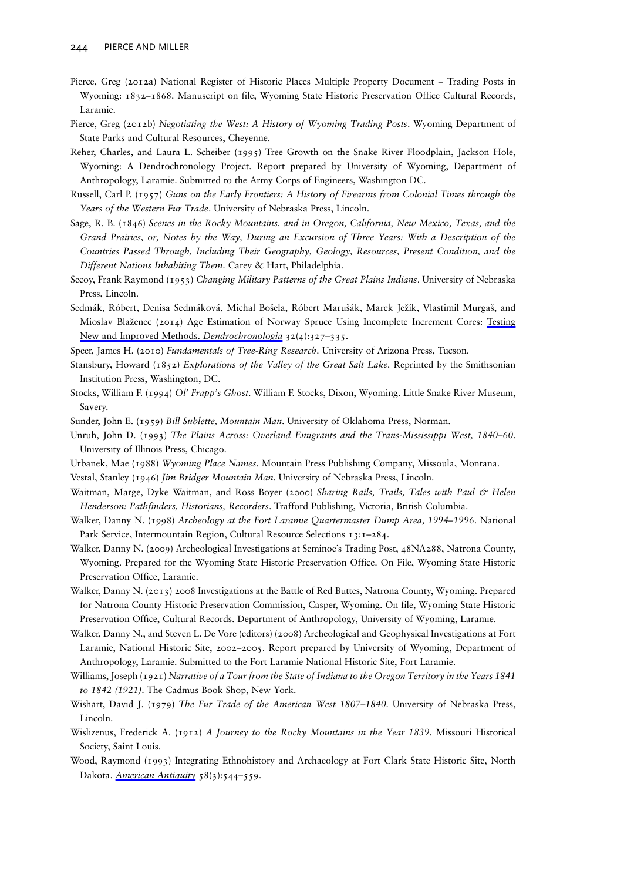- <span id="page-21-0"></span>Pierce, Greg (2012a) National Register of Historic Places Multiple Property Document – Trading Posts in Wyoming: 1832–1868. Manuscript on file, Wyoming State Historic Preservation Office Cultural Records, Laramie.
- Pierce, Greg (2012b) Negotiating the West: A History of Wyoming Trading Posts. Wyoming Department of State Parks and Cultural Resources, Cheyenne.
- Reher, Charles, and Laura L. Scheiber (1995) Tree Growth on the Snake River Floodplain, Jackson Hole, Wyoming: A Dendrochronology Project. Report prepared by University of Wyoming, Department of Anthropology, Laramie. Submitted to the Army Corps of Engineers, Washington DC.
- Russell, Carl P. (1957) Guns on the Early Frontiers: A History of Firearms from Colonial Times through the Years of the Western Fur Trade. University of Nebraska Press, Lincoln.
- Sage, R. B. (1846) Scenes in the Rocky Mountains, and in Oregon, California, New Mexico, Texas, and the Grand Prairies, or, Notes by the Way, During an Excursion of Three Years: With a Description of the Countries Passed Through, Including Their Geography, Geology, Resources, Present Condition, and the Different Nations Inhabiting Them. Carey & Hart, Philadelphia.
- Secoy, Frank Raymond (1953) Changing Military Patterns of the Great Plains Indians. University of Nebraska Press, Lincoln.
- Sedmák, Róbert, Denisa Sedmáková, Michal Bošela, Róbert Marušák, Marek Ježík, Vlastimil Murgaš, and Mioslav Blaženec (2014) Age Estimation of Norway Spruce Using Incomplete Increment Cores: <u>Testin</u>g [New and Improved Methods.](http://www.maneyonline.com/action/showLinks?crossref=10.1016%2Fj.dendro.2014.07.005&isi=000347661000004) Dendrochronologia 32(4):327–335.

Speer, James H. (2010) Fundamentals of Tree-Ring Research. University of Arizona Press, Tucson.

- Stansbury, Howard (1852) Explorations of the Valley of the Great Salt Lake. Reprinted by the Smithsonian Institution Press, Washington, DC.
- Stocks, William F. (1994) Ol' Frapp's Ghost. William F. Stocks, Dixon, Wyoming. Little Snake River Museum, Savery.
- Sunder, John E. (1959) Bill Sublette, Mountain Man. University of Oklahoma Press, Norman.
- Unruh, John D. (1993) The Plains Across: Overland Emigrants and the Trans-Mississippi West, 1840–60. University of Illinois Press, Chicago.
- Urbanek, Mae (1988) Wyoming Place Names. Mountain Press Publishing Company, Missoula, Montana.
- Vestal, Stanley (1946) Jim Bridger Mountain Man. University of Nebraska Press, Lincoln.
- Waitman, Marge, Dyke Waitman, and Ross Boyer (2000) Sharing Rails, Trails, Tales with Paul & Helen Henderson: Pathfinders, Historians, Recorders. Trafford Publishing, Victoria, British Columbia.
- Walker, Danny N. (1998) Archeology at the Fort Laramie Quartermaster Dump Area, 1994–1996. National Park Service, Intermountain Region, Cultural Resource Selections 13:1–284.
- Walker, Danny N. (2009) Archeological Investigations at Seminoe's Trading Post, 48NA288, Natrona County, Wyoming. Prepared for the Wyoming State Historic Preservation Office. On File, Wyoming State Historic Preservation Office, Laramie.
- Walker, Danny N. (2013) 2008 Investigations at the Battle of Red Buttes, Natrona County, Wyoming. Prepared for Natrona County Historic Preservation Commission, Casper, Wyoming. On file, Wyoming State Historic Preservation Office, Cultural Records. Department of Anthropology, University of Wyoming, Laramie.
- Walker, Danny N., and Steven L. De Vore (editors) (2008) Archeological and Geophysical Investigations at Fort Laramie, National Historic Site, 2002–2005. Report prepared by University of Wyoming, Department of Anthropology, Laramie. Submitted to the Fort Laramie National Historic Site, Fort Laramie.
- Williams, Joseph (1921) Narrative of a Tour from the State of Indiana to the Oregon Territory in the Years 1841 to 1842 (1921). The Cadmus Book Shop, New York.
- Wishart, David J. (1979) The Fur Trade of the American West 1807–1840. University of Nebraska Press, Lincoln.
- Wislizenus, Frederick A. (1912) A Journey to the Rocky Mountains in the Year 1839. Missouri Historical Society, Saint Louis.
- Wood, Raymond (1993) Integrating Ethnohistory and Archaeology at Fort Clark State Historic Site, North Dakota. [American Antiquity](http://www.maneyonline.com/action/showLinks?crossref=10.2307%2F282113&isi=A1993LW87900010) 58(3):544-559.